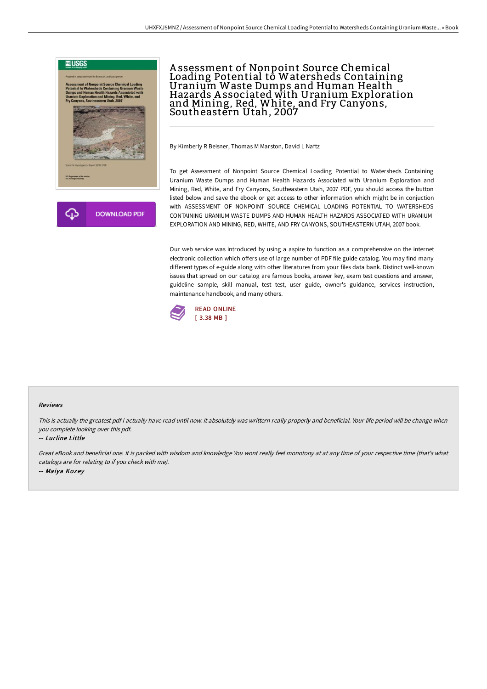

# Assessment of Nonpoint Source Chemical<br>Loading Potential to Watersheds Containing Uranium Waste Dumps and Human Health Hazards A ssociated with Uranium Exploration and Mining, Red, White, and Fry Canyons, Southeastern Utah, 2007

By Kimberly R Beisner, Thomas M Marston, David L Naftz

To get Assessment of Nonpoint Source Chemical Loading Potential to Watersheds Containing Uranium Waste Dumps and Human Health Hazards Associated with Uranium Exploration and Mining, Red, White, and Fry Canyons, Southeastern Utah, 2007 PDF, you should access the button listed below and save the ebook or get access to other information which might be in conjuction with ASSESSMENT OF NONPOINT SOURCE CHEMICAL LOADING POTENTIAL TO WATERSHEDS CONTAINING URANIUM WASTE DUMPS AND HUMAN HEALTH HAZARDS ASSOCIATED WITH URANIUM EXPLORATION AND MINING, RED, WHITE, AND FRY CANYONS, SOUTHEASTERN UTAH, 2007 book.

Our web service was introduced by using a aspire to function as a comprehensive on the internet electronic collection which offers use of large number of PDF file guide catalog. You may find many different types of e-guide along with other literatures from your files data bank. Distinct well-known issues that spread on our catalog are famous books, answer key, exam test questions and answer, guideline sample, skill manual, test test, user guide, owner's guidance, services instruction, maintenance handbook, and many others.



#### Reviews

This is actually the greatest pdf i actually have read until now. it absolutely was writtern really properly and beneficial. Your life period will be change when you complete looking over this pdf.

#### -- Lurline Little

Great eBook and beneficial one. It is packed with wisdom and knowledge You wont really feel monotony at at any time of your respective time (that's what catalogs are for relating to if you check with me). -- Maiya Kozey